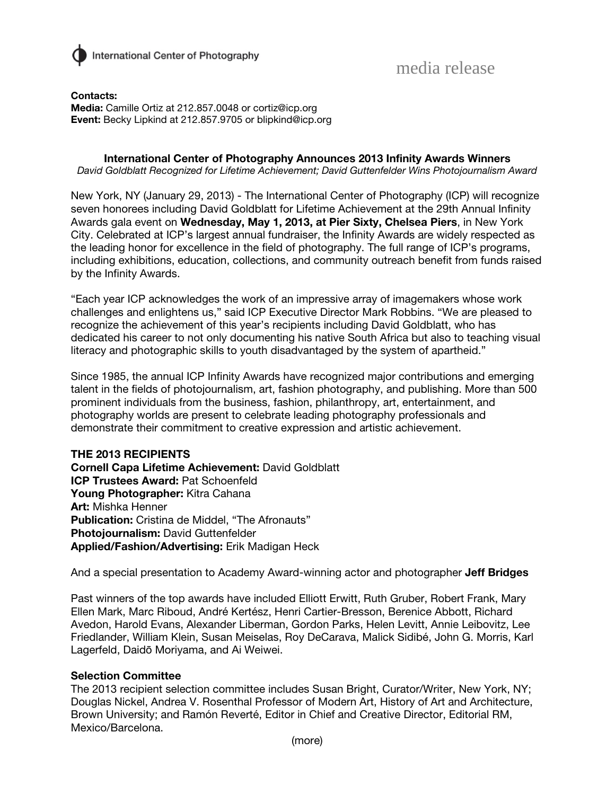

**Contacts: Media:** Camille Ortiz at 212.857.0048 or cortiz@icp.org **Event:** Becky Lipkind at 212.857.9705 or blipkind@icp.org

### **International Center of Photography Announces 2013 Infinity Awards Winners**

*David Goldblatt Recognized for Lifetime Achievement; David Guttenfelder Wins Photojournalism Award*

New York, NY (January 29, 2013) - The International Center of Photography (ICP) will recognize seven honorees including David Goldblatt for Lifetime Achievement at the 29th Annual Infinity Awards gala event on **Wednesday, May 1, 2013, at Pier Sixty, Chelsea Piers**, in New York City. Celebrated at ICP's largest annual fundraiser, the Infinity Awards are widely respected as the leading honor for excellence in the field of photography. The full range of ICP's programs, including exhibitions, education, collections, and community outreach benefit from funds raised by the Infinity Awards.

"Each year ICP acknowledges the work of an impressive array of imagemakers whose work challenges and enlightens us," said ICP Executive Director Mark Robbins. "We are pleased to recognize the achievement of this year's recipients including David Goldblatt, who has dedicated his career to not only documenting his native South Africa but also to teaching visual literacy and photographic skills to youth disadvantaged by the system of apartheid."

Since 1985, the annual ICP Infinity Awards have recognized major contributions and emerging talent in the fields of photojournalism, art, fashion photography, and publishing. More than 500 prominent individuals from the business, fashion, philanthropy, art, entertainment, and photography worlds are present to celebrate leading photography professionals and demonstrate their commitment to creative expression and artistic achievement.

**THE 2013 RECIPIENTS Cornell Capa Lifetime Achievement:** David Goldblatt **ICP Trustees Award:** Pat Schoenfeld **Young Photographer:** Kitra Cahana **Art:** Mishka Henner **Publication:** Cristina de Middel, "The Afronauts" **Photojournalism:** David Guttenfelder **Applied/Fashion/Advertising:** Erik Madigan Heck

And a special presentation to Academy Award-winning actor and photographer **Jeff Bridges**

Past winners of the top awards have included Elliott Erwitt, Ruth Gruber, Robert Frank, Mary Ellen Mark, Marc Riboud, André Kertész, Henri Cartier-Bresson, Berenice Abbott, Richard Avedon, Harold Evans, Alexander Liberman, Gordon Parks, Helen Levitt, Annie Leibovitz, Lee Friedlander, William Klein, Susan Meiselas, Roy DeCarava, Malick Sidibé, John G. Morris, Karl Lagerfeld, Daidō Moriyama, and Ai Weiwei.

#### **Selection Committee**

The 2013 recipient selection committee includes Susan Bright, Curator/Writer, New York, NY; Douglas Nickel, Andrea V. Rosenthal Professor of Modern Art, History of Art and Architecture, Brown University; and Ramón Reverté, Editor in Chief and Creative Director, Editorial RM, Mexico/Barcelona.